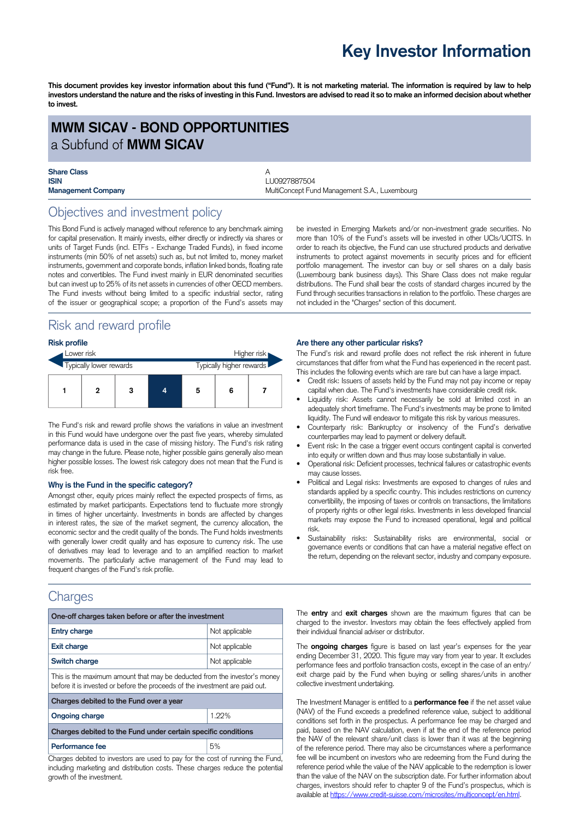## **Key Investor Information**

This document provides key investor information about this fund ("Fund"). It is not marketing material. The information is required by law to help investors understand the nature and the risks of investing in this Fund. Investors are advised to read it so to make an informed decision about whether **to invest.**

### **MWM SICAV - BOND OPPORTUNITIES** a Subfund of **MWM SICAV**

# **Share Class**<br>**ISIN**

**ISIN** LU0927887504 **Management Company MultiConcept Fund Management S.A., Luxembourg Company** 

### Objectives and investment policy

This Bond Fund is actively managed without reference to any benchmark aiming for capital preservation. It mainly invests, either directly or indirectly via shares or units of Target Funds (incl. ETFs - Exchange Traded Funds), in fixed income instruments (min 50% of net assets) such as, but not limited to, money market instruments, government and corporate bonds, inflation linked bonds, floating rate notes and convertibles. The Fund invest mainly in EUR denominated securities but can invest up to 25% of its net assets in currencies of other OECD members. The Fund invests without being limited to a specific industrial sector, rating of the issuer or geographical scope; a proportion of the Fund's assets may

### Risk and reward profile

#### **Risk profile**

| Lower risk              |  |   |  |                          | Higher risk |  |
|-------------------------|--|---|--|--------------------------|-------------|--|
| Typically lower rewards |  |   |  | Typically higher rewards |             |  |
|                         |  | 3 |  | 5                        | 6           |  |

The Fund's risk and reward profile shows the variations in value an investment in this Fund would have undergone over the past five years, whereby simulated performance data is used in the case of missing history. The Fund's risk rating may change in the future. Please note, higher possible gains generally also mean higher possible losses. The lowest risk category does not mean that the Fund is risk free.

#### **Why is the Fund in the specific category?**

Amongst other, equity prices mainly reflect the expected prospects of firms, as estimated by market participants. Expectations tend to fluctuate more strongly in times of higher uncertainty. Investments in bonds are affected by changes in interest rates, the size of the market segment, the currency allocation, the economic sector and the credit quality of the bonds. The Fund holds investments with generally lower credit quality and has exposure to currency risk. The use of derivatives may lead to leverage and to an amplified reaction to market movements. The particularly active management of the Fund may lead to frequent changes of the Fund's risk profile.

### **Charges**

| One-off charges taken before or after the investment                                                                                                      |                |  |  |  |  |
|-----------------------------------------------------------------------------------------------------------------------------------------------------------|----------------|--|--|--|--|
| <b>Entry charge</b>                                                                                                                                       | Not applicable |  |  |  |  |
| <b>Exit charge</b>                                                                                                                                        | Not applicable |  |  |  |  |
| Switch charge                                                                                                                                             | Not applicable |  |  |  |  |
| This is the maximum amount that may be deducted from the investor's money<br>before it is invested or before the proceeds of the investment are paid out. |                |  |  |  |  |
| Charges debited to the Fund over a year                                                                                                                   |                |  |  |  |  |
| <b>Ongoing charge</b>                                                                                                                                     | 1.22%          |  |  |  |  |
| Charges debited to the Fund under certain specific conditions                                                                                             |                |  |  |  |  |
| Performance fee                                                                                                                                           | 5%             |  |  |  |  |

Charges debited to investors are used to pay for the cost of running the Fund, including marketing and distribution costs. These charges reduce the potential growth of the investment.

be invested in Emerging Markets and/or non-investment grade securities. No more than 10% of the Fund's assets will be invested in other UCIs/UCITS. In order to reach its objective, the Fund can use structured products and derivative instruments to protect against movements in security prices and for efficient portfolio management. The investor can buy or sell shares on a daily basis (Luxembourg bank business days). This Share Class does not make regular distributions. The Fund shall bear the costs of standard charges incurred by the Fund through securities transactions in relation to the portfolio. These charges are not included in the "Charges" section of this document.

#### **Are there any other particular risks?**

The Fund's risk and reward profile does not reflect the risk inherent in future circumstances that differ from what the Fund has experienced in the recent past. This includes the following events which are rare but can have a large impact.

- Credit risk: Issuers of assets held by the Fund may not pay income or repay capital when due. The Fund's investments have considerable credit risk.
- Liquidity risk: Assets cannot necessarily be sold at limited cost in an adequately short timeframe. The Fund's investments may be prone to limited liquidity. The Fund will endeavor to mitigate this risk by various measures.
- Counterparty risk: Bankruptcy or insolvency of the Fund's derivative counterparties may lead to payment or delivery default.
- Event risk: In the case a trigger event occurs contingent capital is converted into equity or written down and thus may loose substantially in value.
- Operational risk: Deficient processes, technical failures or catastrophic events may cause losses.
- Political and Legal risks: Investments are exposed to changes of rules and standards applied by a specific country. This includes restrictions on currency convertibility, the imposing of taxes or controls on transactions, the limitations of property rights or other legal risks. Investments in less developed financial markets may expose the Fund to increased operational, legal and political risk.
- Sustainability risks: Sustainability risks are environmental, social or governance events or conditions that can have a material negative effect on the return, depending on the relevant sector, industry and company exposure.

The **entry** and **exit charges** shown are the maximum figures that can be charged to the investor. Investors may obtain the fees effectively applied from their individual financial adviser or distributor.

The **ongoing charges** figure is based on last year's expenses for the year ending December 31, 2020. This figure may vary from year to year. It excludes performance fees and portfolio transaction costs, except in the case of an entry/ exit charge paid by the Fund when buying or selling shares/units in another collective investment undertaking.

The Investment Manager is entitled to a **performance fee** if the net asset value (NAV) of the Fund exceeds a predefined reference value, subject to additional conditions set forth in the prospectus. A performance fee may be charged and paid, based on the NAV calculation, even if at the end of the reference period the NAV of the relevant share/unit class is lower than it was at the beginning of the reference period. There may also be circumstances where a performance fee will be incumbent on investors who are redeeming from the Fund during the reference period while the value of the NAV applicable to the redemption is lower than the value of the NAV on the subscription date. For further information about charges, investors should refer to chapter 9 of the Fund's prospectus, which is available at [https://www.credit-suisse.com/microsites/multiconcept/en.html.](https://www.credit-suisse.com/microsites/multiconcept/en.html)